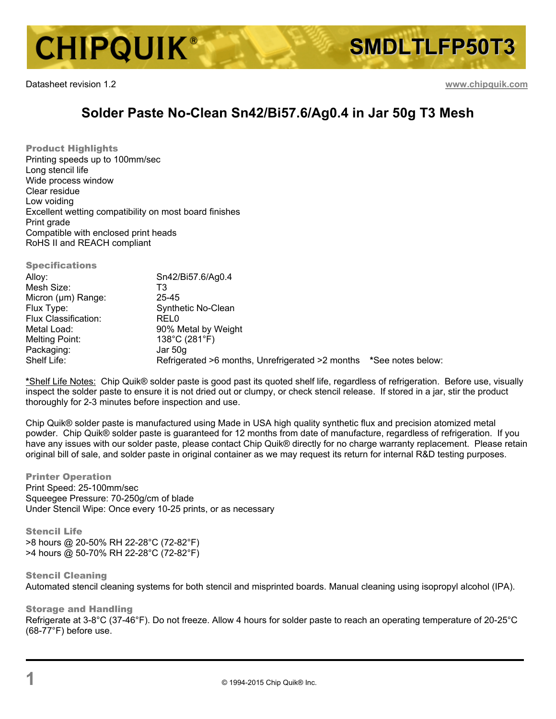

Datasheet revision 1.2 **www.chipquik.com**

## **Solder Paste No-Clean Sn42/Bi57.6/Ag0.4 in Jar 50g T3 Mesh**

Product Highlights Printing speeds up to 100mm/sec Long stencil life Wide process window Clear residue Low voiding Excellent wetting compatibility on most board finishes Print grade Compatible with enclosed print heads RoHS II and REACH compliant

**Specifications** Alloy: Sn42/Bi57.6/Ag0.4 Mesh Size: T3 Micron (µm) Range: 25-45 Flux Type: Synthetic No-Clean Flux Classification: REL0 Metal Load: 90% Metal by Weight<br>
Melting Point: 138°C (281°F)  $138^{\circ}$ C (281 $^{\circ}$ F) Packaging: Jar 50g<br>
Shelf Life: Shelf Shelf Life: Refrigerated >6 months, Unrefrigerated >2 months **\*See notes below:** 

**\***Shelf Life Notes: Chip Quik® solder paste is good past its quoted shelf life, regardless of refrigeration. Before use, visually inspect the solder paste to ensure it is not dried out or clumpy, or check stencil release. If stored in a jar, stir the product thoroughly for 2-3 minutes before inspection and use.

Chip Quik® solder paste is manufactured using Made in USA high quality synthetic flux and precision atomized metal powder. Chip Quik® solder paste is guaranteed for 12 months from date of manufacture, regardless of refrigeration. If you have any issues with our solder paste, please contact Chip Quik® directly for no charge warranty replacement. Please retain original bill of sale, and solder paste in original container as we may request its return for internal R&D testing purposes.

Printer Operation Print Speed: 25-100mm/sec Squeegee Pressure: 70-250g/cm of blade Under Stencil Wipe: Once every 10-25 prints, or as necessary

Stencil Life >8 hours @ 20-50% RH 22-28°C (72-82°F) >4 hours @ 50-70% RH 22-28°C (72-82°F)

Stencil Cleaning Automated stencil cleaning systems for both stencil and misprinted boards. Manual cleaning using isopropyl alcohol (IPA).

Storage and Handling Refrigerate at 3-8°C (37-46°F). Do not freeze. Allow 4 hours for solder paste to reach an operating temperature of 20-25°C (68-77°F) before use.